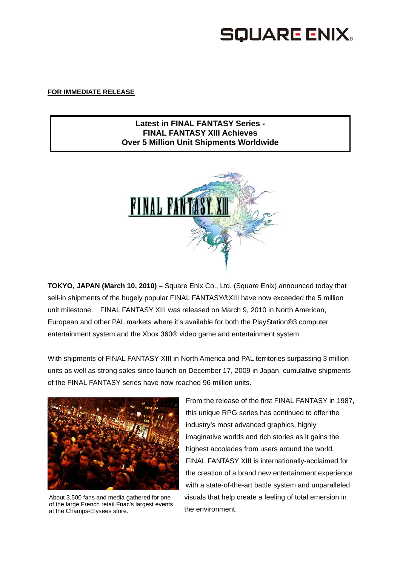# **SQUARE ENIX.**

## **FOR IMMEDIATE RELEASE**

# **Latest in FINAL FANTASY Series - FINAL FANTASY XIII Achieves Over 5 Million Unit Shipments Worldwide**



**TOKYO, JAPAN (March 10, 2010) –** Square Enix Co., Ltd. (Square Enix) announced today that sell-in shipments of the hugely popular FINAL FANTASY®XIII have now exceeded the 5 million unit milestone. FINAL FANTASY XIII was released on March 9, 2010 in North American, European and other PAL markets where it's available for both the PlayStation®3 computer entertainment system and the Xbox 360® video game and entertainment system.

With shipments of FINAL FANTASY XIII in North America and PAL territories surpassing 3 million units as well as strong sales since launch on December 17, 2009 in Japan, cumulative shipments of the FINAL FANTASY series have now reached 96 million units.



About 3,500 fans and media gathered for one of the large French retail Fnac's largest events at the Champs-Elysees store.

From the release of the first FINAL FANTASY in 1987, this unique RPG series has continued to offer the industry's most advanced graphics, highly imaginative worlds and rich stories as it gains the highest accolades from users around the world. FINAL FANTASY XIII is internationally-acclaimed for the creation of a brand new entertainment experience with a state-of-the-art battle system and unparalleled visuals that help create a feeling of total emersion in the environment.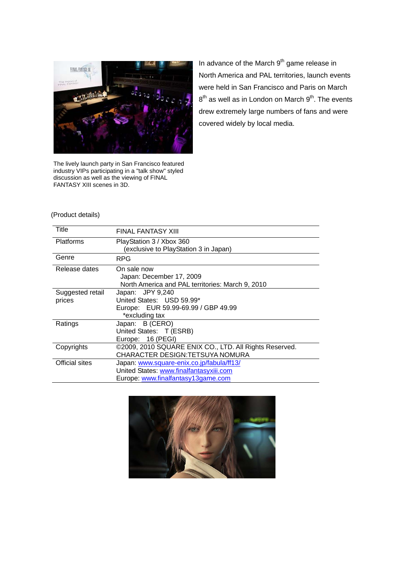

The lively launch party in San Francisco featured industry VIPs participating in a "talk show" styled discussion as well as the viewing of FINAL FANTASY XIII scenes in 3D.

In advance of the March  $9<sup>th</sup>$  game release in North America and PAL territories, launch events were held in San Francisco and Paris on March  $8<sup>th</sup>$  as well as in London on March  $9<sup>th</sup>$ . The events drew extremely large numbers of fans and were covered widely by local media.

#### (Product details)

| Title                 | <b>FINAL FANTASY XIII</b>                              |
|-----------------------|--------------------------------------------------------|
| Platforms             | PlayStation 3 / Xbox 360                               |
|                       | (exclusive to PlayStation 3 in Japan)                  |
| Genre                 | <b>RPG</b>                                             |
| Release dates         | On sale now                                            |
|                       | Japan: December 17, 2009                               |
|                       | North America and PAL territories: March 9, 2010       |
| Suggested retail      | Japan: JPY 9,240                                       |
| prices                | United States: USD 59.99*                              |
|                       | Europe: EUR 59.99-69.99 / GBP 49.99                    |
|                       | *excluding tax                                         |
| Ratings               | Japan: B (CERO)                                        |
|                       | United States: T (ESRB)                                |
|                       | Europe: 16 (PEGI)                                      |
| Copyrights            | ©2009, 2010 SQUARE ENIX CO., LTD. All Rights Reserved. |
|                       | CHARACTER DESIGN: TETSUYA NOMURA                       |
| <b>Official sites</b> | Japan: www.square-enix.co.jp/fabula/ff13/              |
|                       | United States: www.finalfantasyxiii.com                |
|                       | Europe: www.finalfantasy13game.com                     |